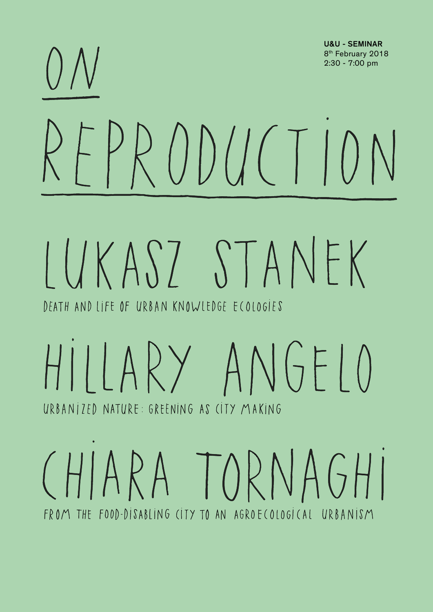

FROM THE FOOD-DISABLING CITY TO AN AGROECOLOGICAL URBANISM